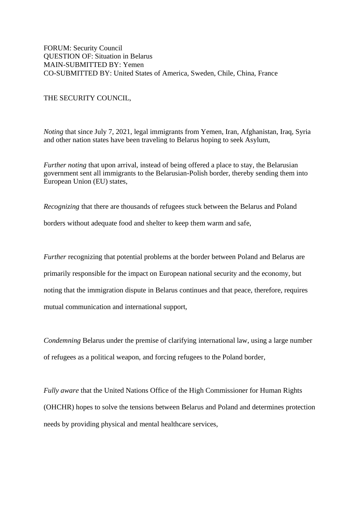FORUM: Security Council QUESTION OF: Situation in Belarus MAIN-SUBMITTED BY: Yemen CO-SUBMITTED BY: United States of America, Sweden, Chile, China, France

THE SECURITY COUNCIL,

*Noting* that since July 7, 2021, legal immigrants from Yemen, Iran, Afghanistan, Iraq, Syria and other nation states have been traveling to Belarus hoping to seek Asylum,

*Further noting* that upon arrival, instead of being offered a place to stay, the Belarusian government sent all immigrants to the Belarusian-Polish border, thereby sending them into European Union (EU) states,

*Recognizing* that there are thousands of refugees stuck between the Belarus and Poland borders without adequate food and shelter to keep them warm and safe,

*Further* recognizing that potential problems at the border between Poland and Belarus are primarily responsible for the impact on European national security and the economy, but noting that the immigration dispute in Belarus continues and that peace, therefore, requires mutual communication and international support,

*Condemning* Belarus under the premise of clarifying international law, using a large number of refugees as a political weapon, and forcing refugees to the Poland border,

*Fully aware* that the United Nations Office of the High Commissioner for Human Rights (OHCHR) hopes to solve the tensions between Belarus and Poland and determines protection needs by providing physical and mental healthcare services,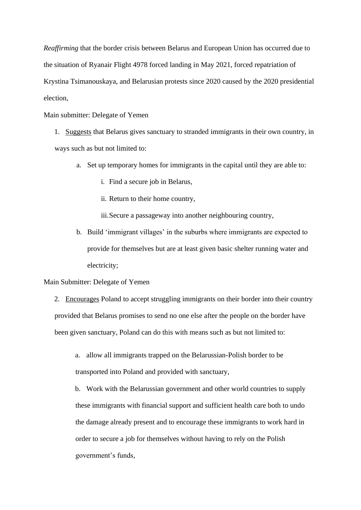*Reaffirming* that the border crisis between Belarus and European Union has occurred due to the situation of Ryanair Flight 4978 forced landing in May 2021, forced repatriation of Krystina Tsimanouskaya, and Belarusian protests since 2020 caused by the 2020 presidential election,

### Main submitter: Delegate of Yemen

- 1. Suggests that Belarus gives sanctuary to stranded immigrants in their own country, in ways such as but not limited to:
	- a. Set up temporary homes for immigrants in the capital until they are able to:
		- i. Find a secure job in Belarus,
		- ii. Return to their home country,

iii.Secure a passageway into another neighbouring country,

b. Build 'immigrant villages' in the suburbs where immigrants are expected to provide for themselves but are at least given basic shelter running water and electricity;

#### Main Submitter: Delegate of Yemen

2. Encourages Poland to accept struggling immigrants on their border into their country provided that Belarus promises to send no one else after the people on the border have been given sanctuary, Poland can do this with means such as but not limited to:

a. allow all immigrants trapped on the Belarussian-Polish border to be transported into Poland and provided with sanctuary,

b. Work with the Belarussian government and other world countries to supply these immigrants with financial support and sufficient health care both to undo the damage already present and to encourage these immigrants to work hard in order to secure a job for themselves without having to rely on the Polish government's funds,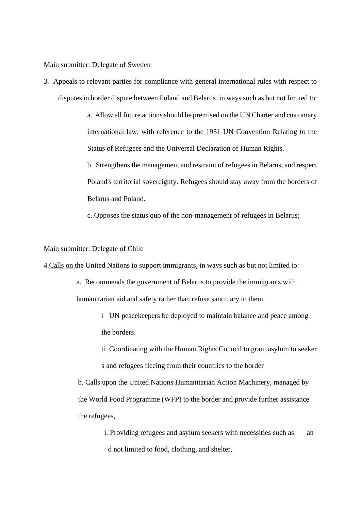Main submitter: Delegate of Sweden

3. Appeals to relevant parties for compliance with general international rules with respect to disputes in border dispute between Poland and Belarus, in ways such as but not limited to:

> a. Allow all future actions should be premised on the UN Charter and customary international law, with reference to the 1951 UN Convention Relating to the Status of Refugees and the Universal Declaration of Human Rights.

> b. Strengthens the management and restraint of refugees in Belarus, and respect Poland's territorial sovereignty. Refugees should stay away from the borders of Belarus and Poland.

c. Opposes the status quo of the non-management of refugees in Belarus;

Main submitter: Delegate of Chile

4.Calls on the United Nations to support immigrants, in ways such as but not limited to:

- a. Recommends the government of Belarus to provide the immigrants with humanitarian aid and safety rather than refuse sanctuary to them,
	- i UN peacekeepers be deployed to maintain balance and peace among the borders.
	- ii Coordinating with the Human Rights Council to grant asylum to seeker s and refugees fleeing from their countries to the border

b. Calls upon the United Nations Humanitarian Action Machinery, managed by the World Food Programme (WFP) to the border and provide further assistance the refugees,

i. Providing refugees and asylum seekers with necessities such as an d not limited to food, clothing, and shelter,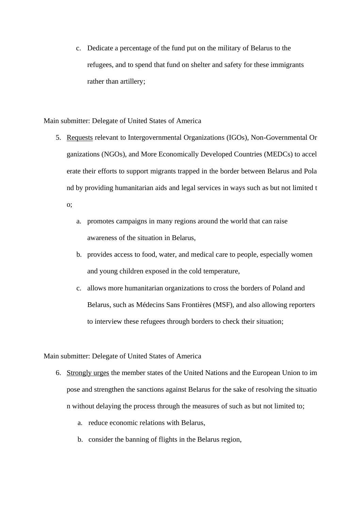c. Dedicate a percentage of the fund put on the military of Belarus to the refugees, and to spend that fund on shelter and safety for these immigrants rather than artillery;

Main submitter: Delegate of United States of America

- 5. Requests relevant to Intergovernmental Organizations (IGOs), Non-Governmental Or ganizations (NGOs), and More Economically Developed Countries (MEDCs) to accel erate their efforts to support migrants trapped in the border between Belarus and Pola nd by providing humanitarian aids and legal services in ways such as but not limited t o;
	- a. promotes campaigns in many regions around the world that can raise awareness of the situation in Belarus,
	- b. provides access to food, water, and medical care to people, especially women and young children exposed in the cold temperature,
	- c. allows more humanitarian organizations to cross the borders of Poland and Belarus, such as Médecins Sans Frontières (MSF), and also allowing reporters to interview these refugees through borders to check their situation;

#### Main submitter: Delegate of United States of America

- 6. Strongly urges the member states of the United Nations and the European Union to im pose and strengthen the sanctions against Belarus for the sake of resolving the situatio n without delaying the process through the measures of such as but not limited to;
	- a. reduce economic relations with Belarus,
	- b. consider the banning of flights in the Belarus region,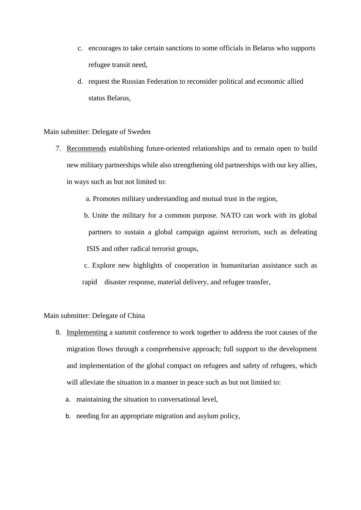- c. encourages to take certain sanctions to some officials in Belarus who supports refugee transit need,
- d. request the Russian Federation to reconsider political and economic allied status Belarus,

Main submitter: Delegate of Sweden

- 7. Recommends establishing future-oriented relationships and to remain open to build new military partnerships while also strengthening old partnerships with our key allies, in ways such as but not limited to:
	- a. Promotes military understanding and mutual trust in the region,
	- b. Unite the military for a common purpose. NATO can work with its global partners to sustain a global campaign against terrorism, such as defeating ISIS and other radical terrorist groups,
	- c. Explore new highlights of cooperation in humanitarian assistance such as rapid disaster response, material delivery, and refugee transfer,

# Main submitter: Delegate of China

- 8. Implementing a summit conference to work together to address the root causes of the migration flows through a comprehensive approach; full support to the development and implementation of the global compact on refugees and safety of refugees, which will alleviate the situation in a manner in peace such as but not limited to:
	- a. maintaining the situation to conversational level,
	- b. needing for an appropriate migration and asylum policy,